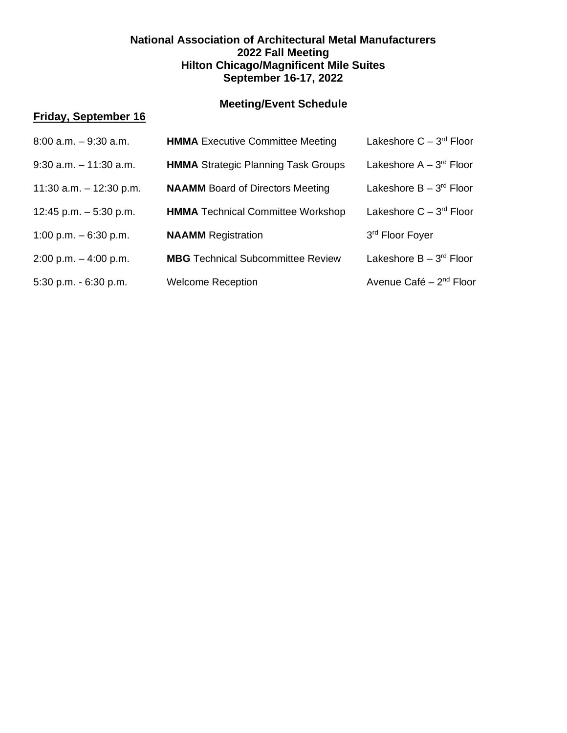### **National Association of Architectural Metal Manufacturers 2022 Fall Meeting Hilton Chicago/Magnificent Mile Suites September 16-17, 2022**

# **Meeting/Event Schedule**

## **Friday, September 16**

| $8:00$ a.m. $-9:30$ a.m.  | <b>HMMA</b> Executive Committee Meeting    | Lakeshore $C - 3^{rd}$ Floor        |
|---------------------------|--------------------------------------------|-------------------------------------|
| $9:30$ a.m. $-11:30$ a.m. | <b>HMMA</b> Strategic Planning Task Groups | Lakeshore $A - 3^{rd}$ Floor        |
| 11:30 a.m. $-$ 12:30 p.m. | <b>NAAMM</b> Board of Directors Meeting    | Lakeshore $B - 3^{rd}$ Floor        |
| 12:45 p.m. $-5:30$ p.m.   | <b>HMMA</b> Technical Committee Workshop   | Lakeshore $C - 3^{rd}$ Floor        |
| 1:00 p.m. $-6:30$ p.m.    | <b>NAAMM</b> Registration                  | 3rd Floor Foyer                     |
| $2:00$ p.m. $-4:00$ p.m.  | <b>MBG</b> Technical Subcommittee Review   | Lakeshore B - 3 <sup>rd</sup> Floor |
| 5:30 p.m. - 6:30 p.m.     | <b>Welcome Reception</b>                   | Avenue Café - 2 <sup>nd</sup> Floor |